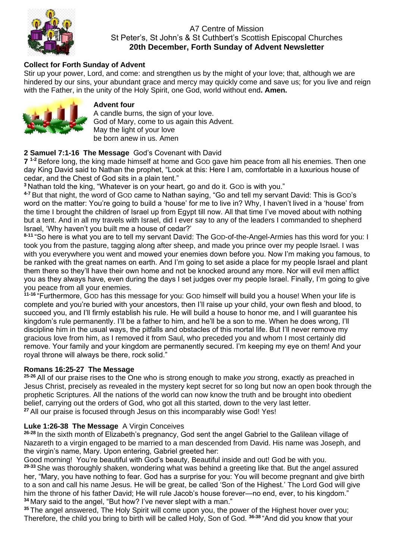

# A7 Centre of Mission St Peter's, St John's & St Cuthbert's Scottish Episcopal Churches **20th December, Forth Sunday of Advent Newsletter**

# **Collect for Forth Sunday of Advent**

Stir up your power, Lord, and come: and strengthen us by the might of your love; that, although we are hindered by our sins, your abundant grace and mercy may quickly come and save us; for you live and reign with the Father, in the unity of the Holy Spirit, one God, world without end**. Amen.**



# **Advent four**

A candle burns, the sign of your love. God of Mary, come to us again this Advent. May the light of your love be born anew in us. Amen

# **2 Samuel 7:1-16 The Message** God's Covenant with David

**7 1-2** Before long, the king made himself at home and GOD gave him peace from all his enemies. Then one day King David said to Nathan the prophet, "Look at this: Here I am, comfortable in a luxurious house of cedar, and the Chest of God sits in a plain tent."

**<sup>3</sup>** Nathan told the king, "Whatever is on your heart, go and do it. GOD is with you."

**4-7** But that night, the word of GOD came to Nathan saying, "Go and tell my servant David: This is GOD's word on the matter: You're going to build a 'house' for me to live in? Why, I haven't lived in a 'house' from the time I brought the children of Israel up from Egypt till now. All that time I've moved about with nothing but a tent. And in all my travels with Israel, did I ever say to any of the leaders I commanded to shepherd Israel, 'Why haven't you built me a house of cedar?'

8-11 "So here is what you are to tell my servant David: The GOD-of-the-Angel-Armies has this word for you: I took you from the pasture, tagging along after sheep, and made you prince over my people Israel. I was with you everywhere you went and mowed your enemies down before you. Now I'm making you famous, to be ranked with the great names on earth. And I'm going to set aside a place for my people Israel and plant them there so they'll have their own home and not be knocked around any more. Nor will evil men afflict you as they always have, even during the days I set judges over my people Israel. Finally, I'm going to give you peace from all your enemies.

**11-16** "Furthermore, GOD has this message for you: GOD himself will build you a house! When your life is complete and you're buried with your ancestors, then I'll raise up your child, your own flesh and blood, to succeed you, and I'll firmly establish his rule. He will build a house to honor me, and I will guarantee his kingdom's rule permanently. I'll be a father to him, and he'll be a son to me. When he does wrong, I'll discipline him in the usual ways, the pitfalls and obstacles of this mortal life. But I'll never remove my gracious love from him, as I removed it from Saul, who preceded you and whom I most certainly did remove. Your family and your kingdom are permanently secured. I'm keeping my eye on them! And your royal throne will always be there, rock solid."

## **Romans 16:25-27 The Message**

**25-26** All of our praise rises to the One who is strong enough to make *you* strong, exactly as preached in Jesus Christ, precisely as revealed in the mystery kept secret for so long but now an open book through the prophetic Scriptures. All the nations of the world can now know the truth and be brought into obedient belief, carrying out the orders of God, who got all this started, down to the very last letter. **<sup>27</sup>** All our praise is focused through Jesus on this incomparably wise God! Yes!

# **Luke 1:26-38 The Message** A Virgin Conceives

**26-28** In the sixth month of Elizabeth's pregnancy, God sent the angel Gabriel to the Galilean village of Nazareth to a virgin engaged to be married to a man descended from David. His name was Joseph, and the virgin's name, Mary. Upon entering, Gabriel greeted her:

Good morning! You're beautiful with God's beauty, Beautiful inside and out! God be with you. **29-33** She was thoroughly shaken, wondering what was behind a greeting like that. But the angel assured

her, "Mary, you have nothing to fear. God has a surprise for you: You will become pregnant and give birth to a son and call his name Jesus. He will be great, be called 'Son of the Highest.' The Lord God will give him the throne of his father David; He will rule Jacob's house forever—no end, ever, to his kingdom." **<sup>34</sup>** Mary said to the angel, "But how? I've never slept with a man."

**<sup>35</sup>** The angel answered, The Holy Spirit will come upon you, the power of the Highest hover over you; Therefore, the child you bring to birth will be called Holy, Son of God. **36-38** "And did you know that your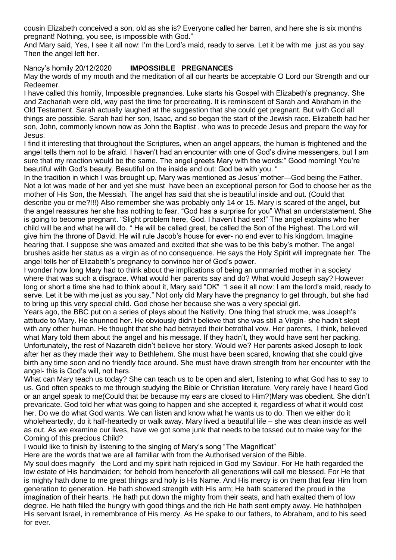cousin Elizabeth conceived a son, old as she is? Everyone called her barren, and here she is six months pregnant! Nothing, you see, is impossible with God."

And Mary said, Yes, I see it all now: I'm the Lord's maid, ready to serve. Let it be with me just as you say. Then the angel left her.

## Nancy's homily 20/12/2020 **IMPOSSIBLE PREGNANCES**

May the words of my mouth and the meditation of all our hearts be acceptable O Lord our Strength and our Redeemer.

I have called this homily, Impossible pregnancies. Luke starts his Gospel with Elizabeth's pregnancy. She and Zachariah were old, way past the time for procreating. It is reminiscent of Sarah and Abraham in the Old Testament. Sarah actually laughed at the suggestion that she could get pregnant. But with God all things are possible. Sarah had her son, Isaac, and so began the start of the Jewish race. Elizabeth had her son, John, commonly known now as John the Baptist , who was to precede Jesus and prepare the way for Jesus.

I find it interesting that throughout the Scriptures, when an angel appears, the human is frightened and the angel tells them not to be afraid. I haven't had an encounter with one of God's divine messengers, but I am sure that my reaction would be the same. The angel greets Mary with the words:" Good morning! You're beautiful with God's beauty. Beautiful on the inside and out: God be with you. "

In the tradition in which I was brought up, Mary was mentioned as Jesus' mother—God being the Father. Not a lot was made of her and yet she must have been an exceptional person for God to choose her as the mother of His Son, the Messiah. The angel has said that she is beautiful inside and out. (Could that describe you or me?!!!) Also remember she was probably only 14 or 15. Mary is scared of the angel, but the angel reassures her she has nothing to fear. "God has a surprise for you" What an understatement. She is going to become pregnant. "Slight problem here, God. I haven't had sex!" The angel explains who her child will be and what he will do. " He will be called great, be called the Son of the Highest. The Lord will give him the throne of David. He will rule Jacob's house for ever- no end ever to his kingdom. Imagine hearing that. I suppose she was amazed and excited that she was to be this baby's mother. The angel brushes aside her status as a virgin as of no consequence. He says the Holy Spirit will impregnate her. The angel tells her of Elizabeth's pregnancy to convince her of God's power.

I wonder how long Mary had to think about the implications of being an unmarried mother in a society where that was such a disgrace. What would her parents say and do? What would Joseph say? However long or short a time she had to think about it, Mary said "OK" "I see it all now: I am the lord's maid, ready to serve. Let it be with me just as you say." Not only did Mary have the pregnancy to get through, but she had to bring up this very special child. God chose her because she was a very special girl.

Years ago, the BBC put on a series of plays about the Nativity. One thing that struck me, was Joseph's attitude to Mary. He shunned her. He obviously didn't believe that she was still a Virgin- she hadn't slept with any other human. He thought that she had betrayed their betrothal yow. Her parents, I think, believed what Mary told them about the angel and his message. If they hadn't, they would have sent her packing. Unfortunately, the rest of Nazareth didn't believe her story. Would we? Her parents asked Joseph to look after her as they made their way to Bethlehem. She must have been scared, knowing that she could give birth any time soon and no friendly face around. She must have drawn strength from her encounter with the angel- this is God's will, not hers.

What can Mary teach us today? She can teach us to be open and alert, listening to what God has to say to us. God often speaks to me through studying the Bible or Christian literature. Very rarely have I heard God or an angel speak to me(Could that be because my ears are closed to Him?)Mary was obedient. She didn't prevaricate. God told her what was going to happen and she accepted it, regardless of what it would cost her. Do we do what God wants. We can listen and know what he wants us to do. Then we either do it wholeheartedly, do it half-heartedly or walk away. Mary lived a beautiful life – she was clean inside as well as out. As we examine our lives, have we got some junk that needs to be tossed out to make way for the Coming of this precious Child?

I would like to finish by listening to the singing of Mary's song "The Magnificat"

Here are the words that we are all familiar with from the Authorised version of the Bible.

My soul does magnify the Lord and my spirit hath rejoiced in God my Saviour. For He hath regarded the low estate of His handmaiden; for behold from henceforth all generations will call me blessed. For He that is mighty hath done to me great things and holy is His Name. And His mercy is on them that fear Him from generation to generation. He hath showed strength with His arm; He hath scattered the proud in the imagination of their hearts. He hath put down the mighty from their seats, and hath exalted them of low degree. He hath filled the hungry with good things and the rich He hath sent empty away. He hathholpen His servant Israel, in remembrance of His mercy. As He spake to our fathers, to Abraham, and to his seed for ever.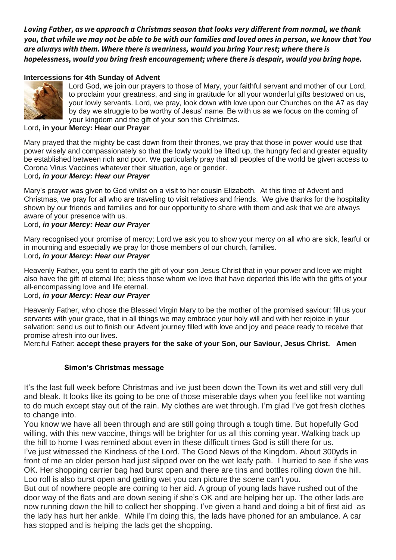*Loving Father, as we approach a Christmas season that looks very different from normal, we thank you, that while we may not be able to be with our families and loved ones in person, we know that You are always with them. Where there is weariness, would you bring Your rest; where there is hopelessness, would you bring fresh encouragement; where there is despair, would you bring hope.*

# **Intercessions for 4th Sunday of Advent**



Lord God, we join our prayers to those of Mary, your faithful servant and mother of our Lord, to proclaim your greatness, and sing in gratitude for all your wonderful gifts bestowed on us, your lowly servants. Lord, we pray, look down with love upon our Churches on the A7 as day by day we struggle to be worthy of Jesus' name. Be with us as we focus on the coming of your kingdom and the gift of your son this Christmas.

## Lord**, in your Mercy: Hear our Prayer**

Mary prayed that the mighty be cast down from their thrones, we pray that those in power would use that power wisely and compassionately so that the lowly would be lifted up, the hungry fed and greater equality be established between rich and poor. We particularly pray that all peoples of the world be given access to Corona Virus Vaccines whatever their situation, age or gender.

## Lord*, in your Mercy: Hear our Prayer*

Mary's prayer was given to God whilst on a visit to her cousin Elizabeth. At this time of Advent and Christmas, we pray for all who are travelling to visit relatives and friends. We give thanks for the hospitality shown by our friends and families and for our opportunity to share with them and ask that we are always aware of your presence with us.

## Lord*, in your Mercy: Hear our Prayer*

Mary recognised your promise of mercy; Lord we ask you to show your mercy on all who are sick, fearful or in mourning and especially we pray for those members of our church, families. Lord*, in your Mercy: Hear our Prayer*

Heavenly Father, you sent to earth the gift of your son Jesus Christ that in your power and love we might also have the gift of eternal life; bless those whom we love that have departed this life with the gifts of your all-encompassing love and life eternal.

## Lord*, in your Mercy: Hear our Prayer*

Heavenly Father, who chose the Blessed Virgin Mary to be the mother of the promised saviour: fill us your servants with your grace, that in all things we may embrace your holy will and with her rejoice in your salvation; send us out to finish our Advent journey filled with love and joy and peace ready to receive that promise afresh into our lives.

Merciful Father: **accept these prayers for the sake of your Son, our Saviour, Jesus Christ. Amen**

## **Simon's Christmas message**

It's the last full week before Christmas and ive just been down the Town its wet and still very dull and bleak. It looks like its going to be one of those miserable days when you feel like not wanting to do much except stay out of the rain. My clothes are wet through. I'm glad I've got fresh clothes to change into.

You know we have all been through and are still going through a tough time. But hopefully God willing, with this new vaccine, things will be brighter for us all this coming year. Walking back up the hill to home I was remined about even in these difficult times God is still there for us. I've just witnessed the Kindness of the Lord. The Good News of the Kingdom. About 300yds in front of me an older person had just slipped over on the wet leafy path. I hurried to see if she was OK. Her shopping carrier bag had burst open and there are tins and bottles rolling down the hill. Loo roll is also burst open and getting wet you can picture the scene can't you.

But out of nowhere people are coming to her aid. A group of young lads have rushed out of the door way of the flats and are down seeing if she's OK and are helping her up. The other lads are now running down the hill to collect her shopping. I've given a hand and doing a bit of first aid as the lady has hurt her ankle. While I'm doing this, the lads have phoned for an ambulance. A car has stopped and is helping the lads get the shopping.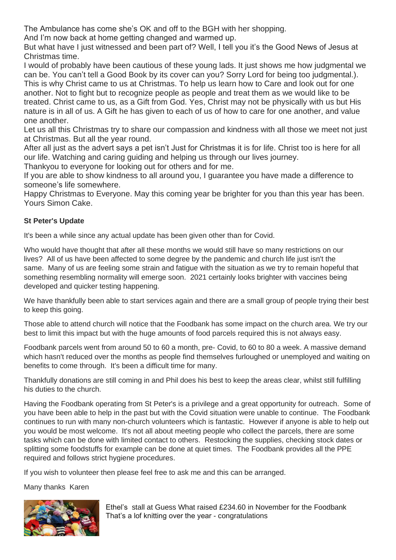The Ambulance has come she's OK and off to the BGH with her shopping.

And I'm now back at home getting changed and warmed up.

But what have I just witnessed and been part of? Well, I tell you it's the Good News of Jesus at Christmas time.

I would of probably have been cautious of these young lads. It just shows me how judgmental we can be. You can't tell a Good Book by its cover can you? Sorry Lord for being too judgmental.). This is why Christ came to us at Christmas. To help us learn how to Care and look out for one another. Not to fight but to recognize people as people and treat them as we would like to be treated. Christ came to us, as a Gift from God. Yes, Christ may not be physically with us but His nature is in all of us. A Gift he has given to each of us of how to care for one another, and value one another.

Let us all this Christmas try to share our compassion and kindness with all those we meet not just at Christmas. But all the year round.

After all just as the advert says a pet isn't Just for Christmas it is for life. Christ too is here for all our life. Watching and caring guiding and helping us through our lives journey.

Thankyou to everyone for looking out for others and for me.

If you are able to show kindness to all around you, I guarantee you have made a difference to someone's life somewhere.

Happy Christmas to Everyone. May this coming year be brighter for you than this year has been. Yours Simon Cake.

# **St Peter's Update**

It's been a while since any actual update has been given other than for Covid.

Who would have thought that after all these months we would still have so many restrictions on our lives? All of us have been affected to some degree by the pandemic and church life just isn't the same. Many of us are feeling some strain and fatigue with the situation as we try to remain hopeful that something resembling normality will emerge soon. 2021 certainly looks brighter with vaccines being developed and quicker testing happening.

We have thankfully been able to start services again and there are a small group of people trying their best to keep this going.

Those able to attend church will notice that the Foodbank has some impact on the church area. We try our best to limit this impact but with the huge amounts of food parcels required this is not always easy.

Foodbank parcels went from around 50 to 60 a month, pre- Covid, to 60 to 80 a week. A massive demand which hasn't reduced over the months as people find themselves furloughed or unemployed and waiting on benefits to come through. It's been a difficult time for many.

Thankfully donations are still coming in and Phil does his best to keep the areas clear, whilst still fulfilling his duties to the church.

Having the Foodbank operating from St Peter's is a privilege and a great opportunity for outreach. Some of you have been able to help in the past but with the Covid situation were unable to continue. The Foodbank continues to run with many non-church volunteers which is fantastic. However if anyone is able to help out you would be most welcome. It's not all about meeting people who collect the parcels, there are some tasks which can be done with limited contact to others. Restocking the supplies, checking stock dates or splitting some foodstuffs for example can be done at quiet times. The Foodbank provides all the PPE required and follows strict hygiene procedures.

If you wish to volunteer then please feel free to ask me and this can be arranged.

Many thanks Karen



Ethel's stall at Guess What raised £234.60 in November for the Foodbank That's a lof knitting over the year - congratulations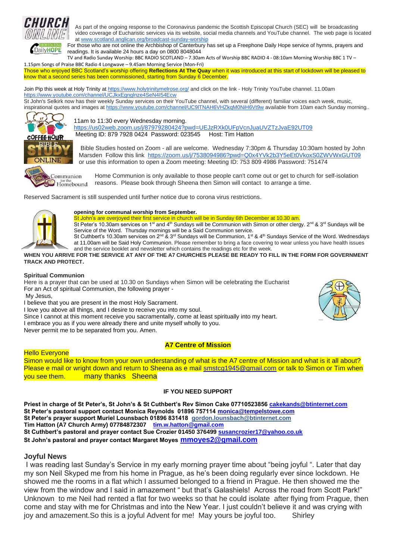

As part of the ongoing response to the Coronavirus pandemic the Scottish Episcopal Church (SEC) will be broadcasting video coverage of Eucharistic services via its website, social media channels and YouTube channel. The web page is located at [www.scotland.anglican.org/broadcast-sunday-worship](http://www.scotland.anglican.org/broadcast-sunday-worship)

For those who are not online the Archbishop of Canterbury has set up a Freephone Daily Hope service of hymns, prayers and **DailyHOPE** readings. It is available 24 hours a day on 0800 8048044

TV and Radio Sunday Worship: BBC RADIO SCOTLAND – 7.30am Acts of Worship BBC RADIO 4 - 08:10am Morning Worship BBC 1 TV – 1.15pm Songs of Praise BBC Radio 4 Longwave – 9.45am Morning Service (Mon-Fri)

Those who enjoyed BBC Scotland's worship offering **Reflections At The Quay** when it was introduced at this start of lockdown will be pleased to know that a second series has been commissioned, starting from Sunday 6 December.

Join Pip this week at Holy Trinity at<https://www.holytrinitymelrose.org/> and click on the link - Holy Trinity YouTube channel. 11.00am <https://www.youtube.com/channel/UCJkxEgnglnze4SeN4I54Ecw>

St John's Selkirk now has their weekly Sunday services on their YouTube channel, with several (different) familiar voices each week, music, inspirational quotes and images at https://www.youtube.com/channel/UC9ITNAH6VHZkqM0NiH6Vt9w available from 10am each Sunday morning..



11am to 11:30 every Wednesday morning. <https://us02web.zoom.us/j/87979280424?pwd=UEJzRXk0UFpVcnJuaUVZTzJvaE92UT09> Meeting ID: 879 7928 0424 Password: 023545 Host: Tim Hatton

Bible Studies hosted on Zoom - all are welcome. Wednesday 7:30pm & Thursday 10:30am hosted by John Marsden Follow this link <https://zoom.us/j/7538094986?pwd=Q0x4YVk2b3Y5eEt0VkoxS0ZWVWxGUT09> or use this information to open a Zoom meeting: Meeting ID: 753 809 4986 Password: 751474

 $Commonunion$ Homebound

Home Communion is only available to those people can't come out or get to church for self-isolation reasons. Please book through Sheena then Simon will contact to arrange a time.

Reserved Sacrament is still suspended until further notice due to corona virus restrictions.



#### **opening for communal worship from Septembe[r.](https://l.facebook.com/l.php?u=https%3A%2F%2Fwww.strava.com%2Factivities%2F4115144364%3Ffbclid%3DIwAR2dp0V7bZw56KZNe7vvvP6qvLImkA5BNccKKFT60WPFMxOmexhBDMqE1hk&h=AT06T4e_7h6ZApB1oGWjk7pLBQ-K3FrXkDzPu-3dIUW9Yq2uWgVHvA1iH9D2G0qHAEzsVf6iZSPLYjt6IIPAEnVxcjXeHb_PKNtCimTKWYec9eSyBG-fhPgCt_GQiLPKta1r&__tn__=H-R&c%5b0%5d=AT0geC5tx4HBtnuUp3gCeEzYdFpe7hKghWt3IPt71OMD54KpTLRZ2BoA0MuMeWwHlfudxO2cBtPJ9so98nMDTcbxTJGAgh-8HbIfpS2DmXnwskBFa3Rkq0KNMefG4EVpFLNqSFOwfcU5q9TBFeRBz7HaUNslyrmv_jq4-z_aqyrBursxAXDT8wGoXyLBHCyTB8npD5HEm393dr1yc9xU8_Tzaw)**

St John's are overjoyed their first service in church will be in Sunday 6th December at 10.30 am. St Peter's 10.30am services on 1<sup>st</sup> and 4<sup>th</sup> Sundays will be Communion with Simon or other clergy. 2<sup>nd</sup> & 3<sup>rd</sup> Sundays will be Service of the Word. Thursday mornings will be a Said Communion service.

St Cuthbert's 10.30am services on 2<sup>nd</sup> & 3<sup>rd</sup> Sundays will be Communion, 1<sup>st</sup> & 4<sup>th</sup> Sundays Service of the Word. Wednesdays at 11.00am will be Said Holy Communion. Please remember to bring a face covering to wear unless you have health issues and the service booklet and newsletter which contains the readings etc for the week.

**WHEN YOU ARRIVE FOR THE SERVICE AT ANY OF THE A7 CHURCHES PLEASE BE READY TO FILL IN THE FORM FOR GOVERNMENT TRACK AND PROTECT.** 

### **Spiritual Communion**

Here is a prayer that can be used at 10.30 on Sundays when Simon will be celebrating the Eucharist For an Act of spiritual Communion, the following prayer -

My Jesus,

I believe that you are present in the most Holy Sacrament.

I love you above all things, and I desire to receive you into my soul.

Since I cannot at this moment receive you sacramentally, come at least spiritually into my heart.

I embrace you as if you were already there and unite myself wholly to you.

Never permit me to be separated from you. Amen.

### **A7 Centre of Mission**

### **Hello Everyone**

Simon would like to know from your own understanding of what is the A7 centre of Mission and what is it all about? Please e mail or wright down and return to Sheena as e mail [smstcg1945@gmail.com](mailto:smstcg1945@gmail.com) or talk to Simon or Tim when you see them. many thanks Sheena

### **IF YOU NEED SUPPORT**

**Priest in charge of St Peter's, St John's & St Cuthbert's Rev Simon Cake 07710523856 [cakekands@btinternet.com](mailto:cakekands@btinternet.com) St Peter's pastoral support contact Monica Reynolds 01896 757114 [monica@tempelstowe.com](mailto:monica@tempelstowe.com) St Peter's prayer support Muriel Lounsbach 01896 831418 gordon.lounsbach@btinternet.com Tim Hatton (A7 Church Army) 07784872307 [tim.w.hatton@gmail.com](mailto:tim.w.hutton@gmail.com) St Cuthbert's pastoral and prayer contact Sue Crozier 01450 376499 [susancrozier17@yahoo.co.uk](mailto:susancrozier17@yahoo.co.uk) St John's pastoral and prayer contact Margaret Moyes [mmoyes2@gmail.com](mailto:mmoyes2@gmail.com)**

### **Joyful News**

I was reading last Sunday's Service in my early morning prayer time about "being joyful ". Later that day my son Neil Skyped me from his home in Prague, as he's been doing regularly ever since lockdown. He showed me the rooms in a flat which I assumed belonged to a friend in Prague. He then showed me the view from the window and I said in amazement " but that's Galashiels! Across the road from Scott Park!" Unknown to me Neil had rented a flat for two weeks so that he could isolate after flying from Prague, then come and stay with me for Christmas and into the New Year. I just couldn't believe it and was crying with joy and amazement.So this is a joyful Advent for me! May yours be joyful too. Shirley